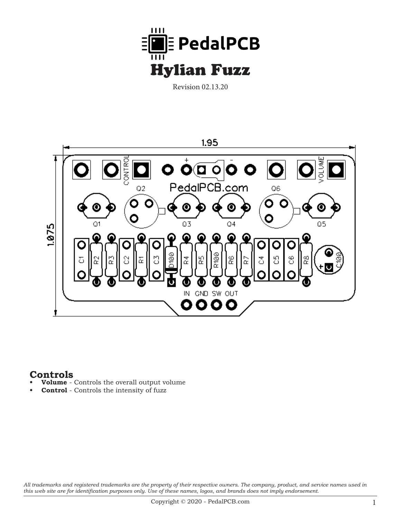

Revision 02.13.20



## **Controls**

- **• Volume** Controls the overall output volume
- **Control** Controls the intensity of fuzz

*All trademarks and registered trademarks are the property of their respective owners. The company, product, and service names used in this web site are for identification purposes only. Use of these names, logos, and brands does not imply endorsement.*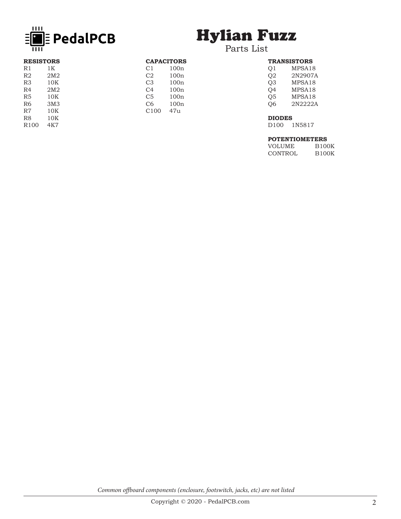

# Hylian Fuzz

## Parts List

| <b>RESISTORS</b> |                 | <b>CAPACITORS</b> |      |
|------------------|-----------------|-------------------|------|
| R1               | 1K              | C1                | 100n |
| R2               | 2M <sub>2</sub> | C <sub>2</sub>    | 100n |
| R <sub>3</sub>   | 10K             | C <sub>3</sub>    | 100n |
| R4               | 2M <sub>2</sub> | C4                | 100n |
| R <sub>5</sub>   | 10K             | C5                | 100n |
| R6               | 3M3             | C6                | 100n |
| R7               | 10K             | C <sub>100</sub>  | 47u  |
| R8               | 10K             |                   |      |
| R100             | 4K7             |                   |      |
|                  |                 |                   |      |

| <b>TRANSISTORS</b> |                                                          |  |  |  |
|--------------------|----------------------------------------------------------|--|--|--|
| O <sub>1</sub>     | MPSA <sub>18</sub>                                       |  |  |  |
| $\cap$             | $\bigcap_{\alpha}$ $\bigcap_{\alpha}$ $\bigcap_{\alpha}$ |  |  |  |

| Q2 | 2N2907A |
|----|---------|
| O3 | MPSA18  |
| O4 | MPSA18  |
| O5 | MPSA18  |
| O6 | 2N2222A |
|    |         |

### **DIODES**

D100 1N5817

### **POTENTIOMETERS**

| VOLUME  | <b>B100K</b> |
|---------|--------------|
| CONTROL | <b>B100K</b> |

*Common offboard components (enclosure, footswitch, jacks, etc) are not listed*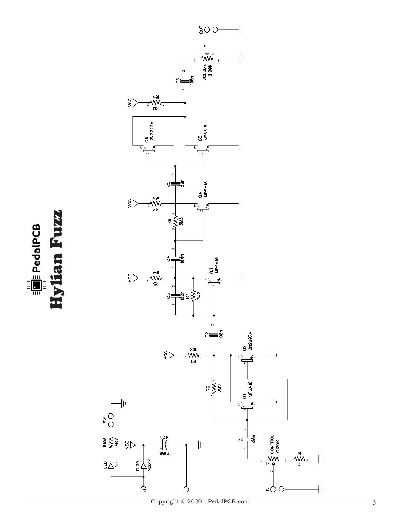Hylian Fuzz Hylian Fuzz $\equiv \frac{1}{2}$  PedalPCB

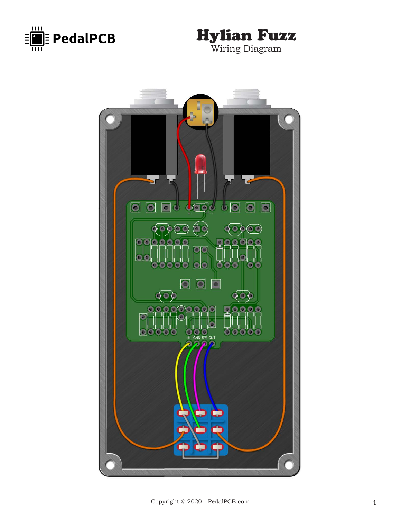



Wiring Diagram